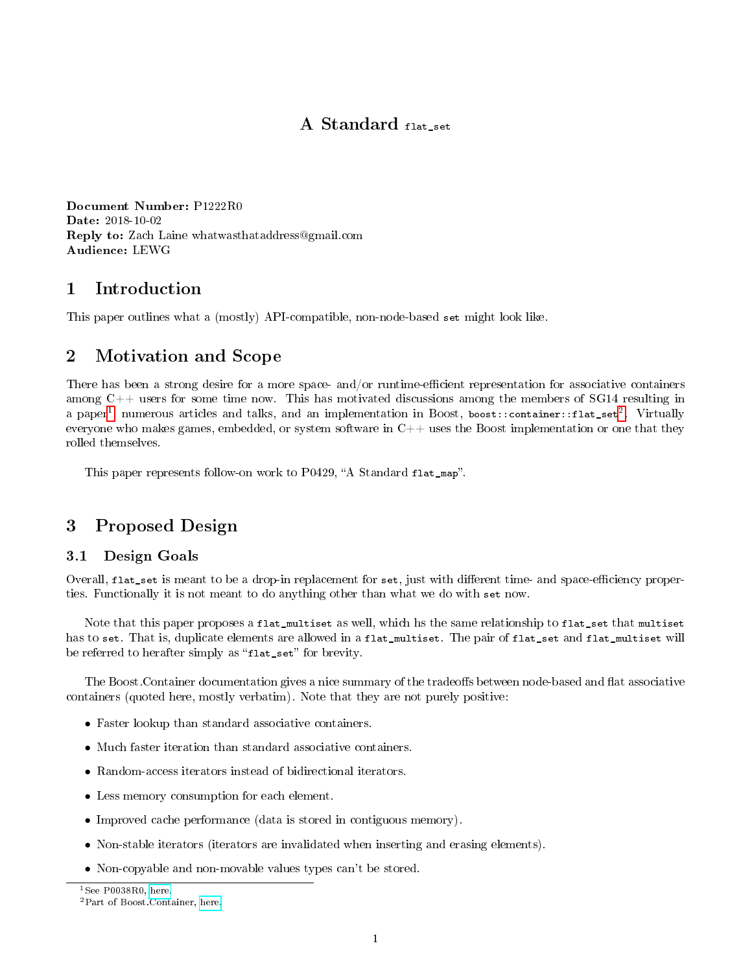# A Standard flat\_set

Document Number: P1222R0 Date: 2018-10-02 Reply to: Zach Laine whatwasthataddress@gmail.com Audience: LEWG

## 1 Introduction

This paper outlines what a (mostly) API-compatible, non-node-based set might look like.

# 2 Motivation and Scope

There has been a strong desire for a more space- and/or runtime-efficient representation for associative containers among  $C++$  users for some time now. This has motivated discussions among the members of SG14 resulting in a paper<sup>[1](#page-0-0)</sup>, numerous articles and talks, and an implementation in Boost, boost:: container::flat\_set<sup>[2](#page-0-1)</sup>. Virtually everyone who makes games, embedded, or system software in  $C++$  uses the Boost implementation or one that they rolled themselves.

This paper represents follow-on work to P0429, "A Standard flat\_map".

# 3 Proposed Design

## 3.1 Design Goals

Overall, flat\_set is meant to be a drop-in replacement for set, just with different time- and space-efficiency properties. Functionally it is not meant to do anything other than what we do with set now.

Note that this paper proposes a flat\_multiset as well, which hs the same relationship to flat\_set that multiset has to set. That is, duplicate elements are allowed in a flat\_multiset. The pair of flat\_set and flat\_multiset will be referred to herafter simply as "flat\_set" for brevity.

The Boost. Container documentation gives a nice summary of the tradeoffs between node-based and flat associative containers (quoted here, mostly verbatim). Note that they are not purely positive:

- Faster lookup than standard associative containers.
- Much faster iteration than standard associative containers.
- Random-access iterators instead of bidirectional iterators.
- Less memory consumption for each element.
- Improved cache performance (data is stored in contiguous memory).
- Non-stable iterators (iterators are invalidated when inserting and erasing elements).
- Non-copyable and non-movable values types can't be stored.

<span id="page-0-1"></span><span id="page-0-0"></span><sup>&</sup>lt;sup>1</sup>See P0038R0, [here.](http://www.open-std.org/jtc1/sc22/wg21/docs/papers/2015/p0038r0.html) <sup>2</sup>Part of Boost.Container, [here.](http://www.boost.org/doc/libs/1_61_0/doc/html/container.html)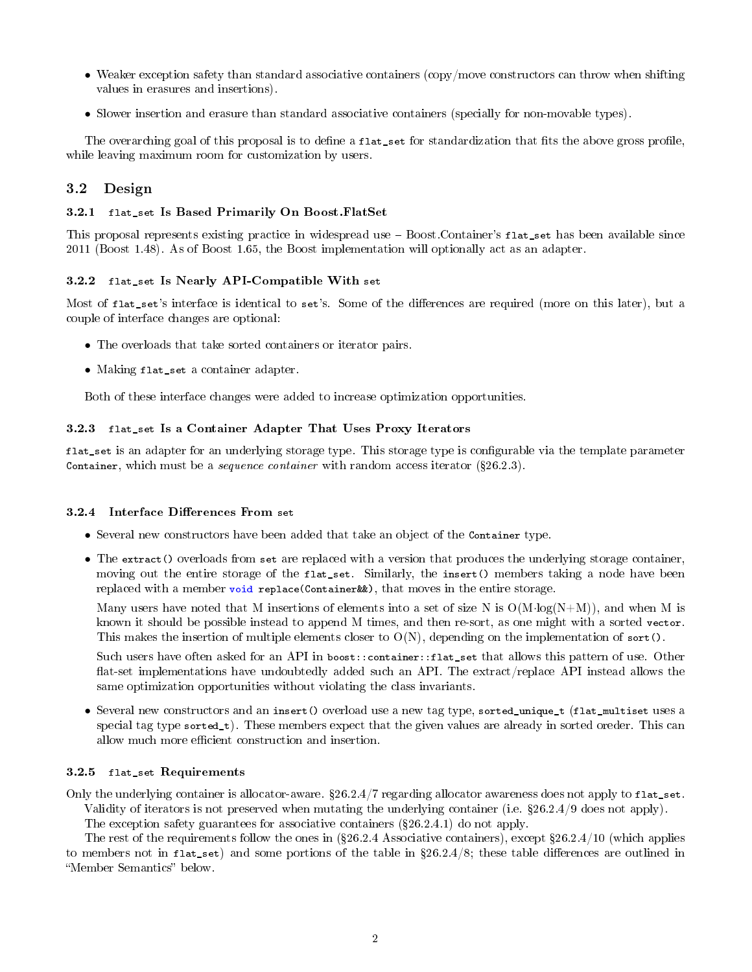- Weaker exception safety than standard associative containers (copy/move constructors can throw when shifting values in erasures and insertions).
- Slower insertion and erasure than standard associative containers (specially for non-movable types).

The overarching goal of this proposal is to define a flat\_set for standardization that fits the above gross profile, while leaving maximum room for customization by users.

## 3.2 Design

#### 3.2.1 flat\_set Is Based Primarily On Boost.FlatSet

This proposal represents existing practice in widespread use  $-$  Boost.Container's flat\_set has been available since 2011 (Boost 1.48). As of Boost 1.65, the Boost implementation will optionally act as an adapter.

#### 3.2.2 flat\_set Is Nearly API-Compatible With set

Most of flat\_set's interface is identical to set's. Some of the differences are required (more on this later), but a couple of interface changes are optional:

- The overloads that take sorted containers or iterator pairs.
- Making flat\_set a container adapter.

Both of these interface changes were added to increase optimization opportunities.

### 3.2.3 flat\_set Is a Container Adapter That Uses Proxy Iterators

flat\_set is an adapter for an underlying storage type. This storage type is configurable via the template parameter Container, which must be a *sequence container* with random access iterator  $(\S 26.2.3)$ .

### 3.2.4 Interface Differences From set

- Several new constructors have been added that take an object of the Container type.
- The extract() overloads from set are replaced with a version that produces the underlying storage container, moving out the entire storage of the flat\_set. Similarly, the insert() members taking a node have been replaced with a member void replace(Container&&), that moves in the entire storage.

Many users have noted that M insertions of elements into a set of size N is  $O(M \cdot \log(N+M))$ , and when M is known it should be possible instead to append M times, and then re-sort, as one might with a sorted vector. This makes the insertion of multiple elements closer to  $O(N)$ , depending on the implementation of sort().

Such users have often asked for an API in boost::container::flat\_set that allows this pattern of use. Other flat-set implementations have undoubtedly added such an API. The extract/replace API instead allows the same optimization opportunities without violating the class invariants.

• Several new constructors and an insert() overload use a new tag type, sorted\_unique\_t (flat\_multiset uses a special tag type sorted\_t). These members expect that the given values are already in sorted oreder. This can allow much more efficient construction and insertion.

### 3.2.5 flat\_set Requirements

Only the underlying container is allocator-aware.  $\S 26.2.4/7$  regarding allocator awareness does not apply to flat\_set. Validity of iterators is not preserved when mutating the underlying container (i.e. 26.2.4/9 does not apply). The exception safety guarantees for associative containers  $(\S 26.2.4.1)$  do not apply.

The rest of the requirements follow the ones in  $(\$26.2.4$  Associative containers), except  $\$26.2.4/10$  (which applies to members not in flat\_set) and some portions of the table in  $$26.2.4/8$ ; these table differences are outlined in "Member Semantics" below.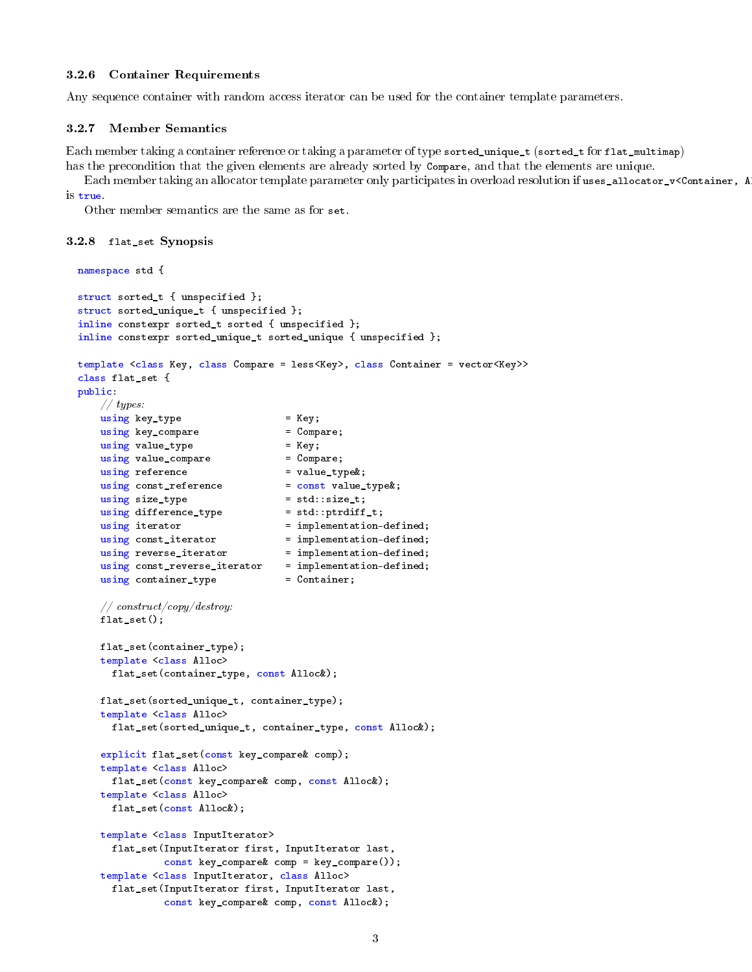### 3.2.6 Container Requirements

Any sequence container with random access iterator can be used for the container template parameters.

### 3.2.7 Member Semantics

Each member taking a container reference or taking a parameter of type sorted\_unique\_t (sorted\_t for flat\_multimap) has the precondition that the given elements are already sorted by Compare, and that the elements are unique.

Each member taking an allocator template parameter only participates in overload resolution if uses\_allocator\_v<Container, A is true.

Other member semantics are the same as for set.

#### 3.2.8 flat\_set Synopsis

```
namespace std {
struct sorted_t { unspecified };
struct sorted_unique_t { unspecified };
inline constexpr sorted_t sorted { unspecified };
inline constexpr sorted_unique_t sorted_unique { unspecified };
template <class Key, class Compare = less<Key>, class Container = vector<Key>>
class flat_set {
public:
   // types:
   using key\_type = Key;using key_compare = Compare;
   using value_type = Key;
   using value_compare = Compare;<br>using reference = value_type&;
   using reference
    using const_reference = const value_type &;
    using size_type = std::size_t;<br>using difference_type = std::ptrdiff_t;
   using difference_type
   using iterator = implementation-defined;
    using const_iterator = implementation-defined;
    using reverse_iterator = implementation-defined;
    using const_reverse_iterator = implementation-defined;
    using container_type = = Container;\label{thm:1} // \ const ruct/copy/destroy.flat_set();
    flat_set(container_type);
    template <class Alloc>
     flat_set(container_type, const Alloc&);
    flat_set(sorted_unique_t, container_type);
    template <class Alloc>
     flat_set(sorted_unique_t, container_type, const Alloc&);
    explicit flat_set(const key_compare& comp);
    template <class Alloc>
     flat_set(const key_compare& comp, const Alloc&);
    template <class Alloc>
     flat_set(const Alloc&);
    template <class InputIterator>
     flat_set(InputIterator first, InputIterator last,
               const key_compare& comp = key_compare());
    template <class InputIterator, class Alloc>
     flat_set(InputIterator first, InputIterator last,
               const key_compare& comp, const Alloc&);
```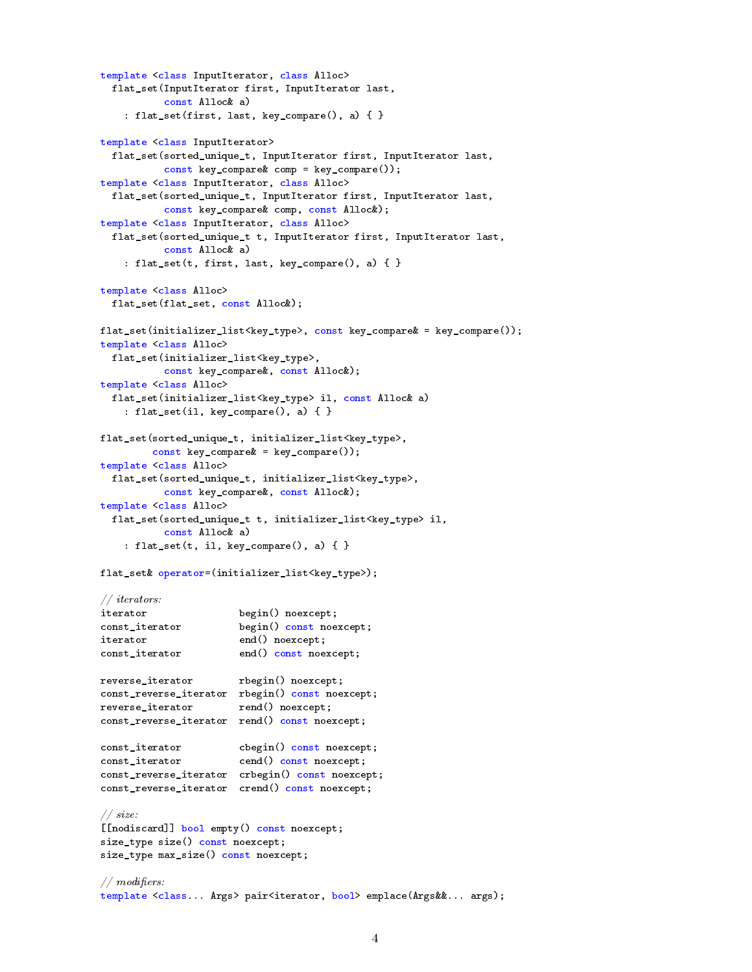```
template <class InputIterator, class Alloc>
 flat_set(InputIterator first, InputIterator last,
           const Alloc& a)
   : flat_set(first, last, key_compare(), a) { }
template <class InputIterator>
 flat_set(sorted_unique_t, InputIterator first, InputIterator last,
           const key_compare& comp = key_compare());
template <class InputIterator, class Alloc>
 flat_set(sorted_unique_t, InputIterator first, InputIterator last,
          const key_compare& comp, const Alloc&);
template <class InputIterator, class Alloc>
 flat_set(sorted_unique_t t, InputIterator first, InputIterator last,
          const Alloc& a)
   : flat_set(t, first, last, key_compare(), a) { }
template <class Alloc>
 flat_set(flat_set, const Alloc&);
flat_set(initializer_list<key_type>, const key_compare& = key_compare());
template <class Alloc>
 flat_set(initializer_list<key_type>,
          const key_compare&, const Alloc&);
template <class Alloc>
 flat_set(initializer_list<key_type> il, const Alloc& a)
    : flat_set(il, key_compare(), a) { }
flat_set(sorted_unique_t, initializer_list<key_type>,
        const key_compare& = key_compare());
template <class Alloc>
 flat_set(sorted_unique_t, initializer_list<key_type>,
           const key_compare&, const Alloc&);
template <class Alloc>
 flat_set(sorted_unique_t t, initializer_list<key_type> il,
          const Alloc& a)
   : flat_set(t, il, key_compare(), a) { }
flat_set& operator=(initializer_list<key_type>);
// iterators:
iterator begin() noexcept;<br>const iterator begin() const noe
                     begin() const noexcept;
iterator end() noexcept;
const_iterator end() const noexcept;
reverse_iterator rbegin() noexcept;
const_reverse_iterator rbegin() const noexcept;
reverse_iterator rend() noexcept;
const_reverse_iterator rend() const noexcept;
const_iterator cbegin() const noexcept;
const_iterator cend() const noexcept;
const_reverse_iterator crbegin() const noexcept;
const_reverse_iterator crend() const noexcept;
// size:
[[nodiscard]] bool empty() const noexcept;
size_type size() const noexcept;
size_type max_size() const noexcept;
// modifiers:
template <class... Args> pair<iterator, bool> emplace(Args&&... args);
```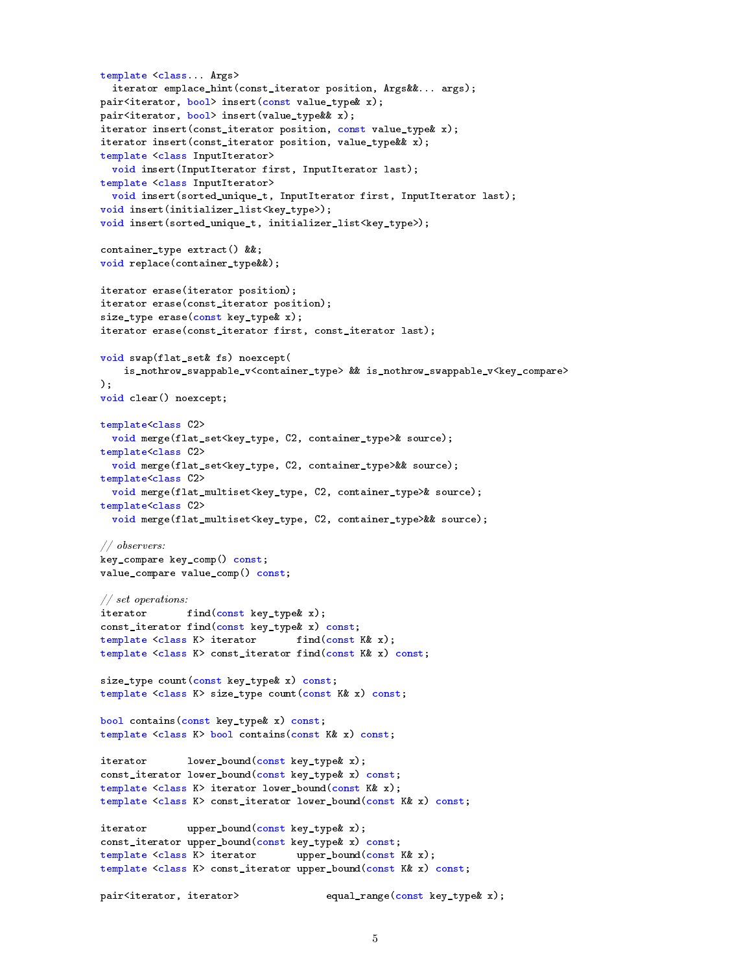```
template <class... Args>
 iterator emplace_hint(const_iterator position, Args&&... args);
pair<iterator, bool> insert(const value_type& x);
pair<iterator, bool> insert(value_type&& x);
iterator insert(const_iterator position, const value_type& x);
iterator insert(const_iterator position, value_type&& x);
template <class InputIterator>
 void insert(InputIterator first, InputIterator last);
template <class InputIterator>
 void insert(sorted_unique_t, InputIterator first, InputIterator last);
void insert(initializer_list<key_type>);
void insert(sorted_unique_t, initializer_list<key_type>);
container_type extract() &&;
void replace(container_type&&);
iterator erase(iterator position);
iterator erase(const_iterator position);
size_type erase(const key_type& x);
iterator erase(const_iterator first, const_iterator last);
void swap(flat_set& fs) noexcept(
   is_nothrow_swappable_v<container_type> && is_nothrow_swappable_v<key_compare>
\lambda;
void clear() noexcept;
template<class C2>
 void merge(flat_set<key_type, C2, container_type>& source);
template<class C2>
 void merge(flat_set<key_type, C2, container_type>&& source);
template<class C2>
 void merge(flat_multiset<key_type, C2, container_type>& source);
template<class C2>
 void merge(flat_multiset<key_type, C2, container_type>&& source);
// observers:
key_compare key_comp() const;
value_compare value_comp() const;
// set operations:
iterator find(const key_type& x);
const_iterator find(const key_type& x) const;
template <class K> iterator find(const K& x);
template <class K> const_iterator find(const K& x) const;
size_type count(const key_type& x) const;
template <class K> size_type count(const K& x) const;
bool contains(const key_type& x) const;
template <class K> bool contains(const K& x) const;
iterator lower_bound(const key_type& x);
const_iterator lower_bound(const key_type& x) const;
template <class K> iterator lower_bound(const K& x);
template <class K> const_iterator lower_bound(const K& x) const;
iterator upper_bound(const key_type& x);
const_iterator upper_bound(const key_type& x) const;
template <class K> iterator upper_bound(const K& x);
template <class K> const_iterator upper_bound(const K& x) const;
pair<iterator, iterator>
equal_range(const key_type& x);
```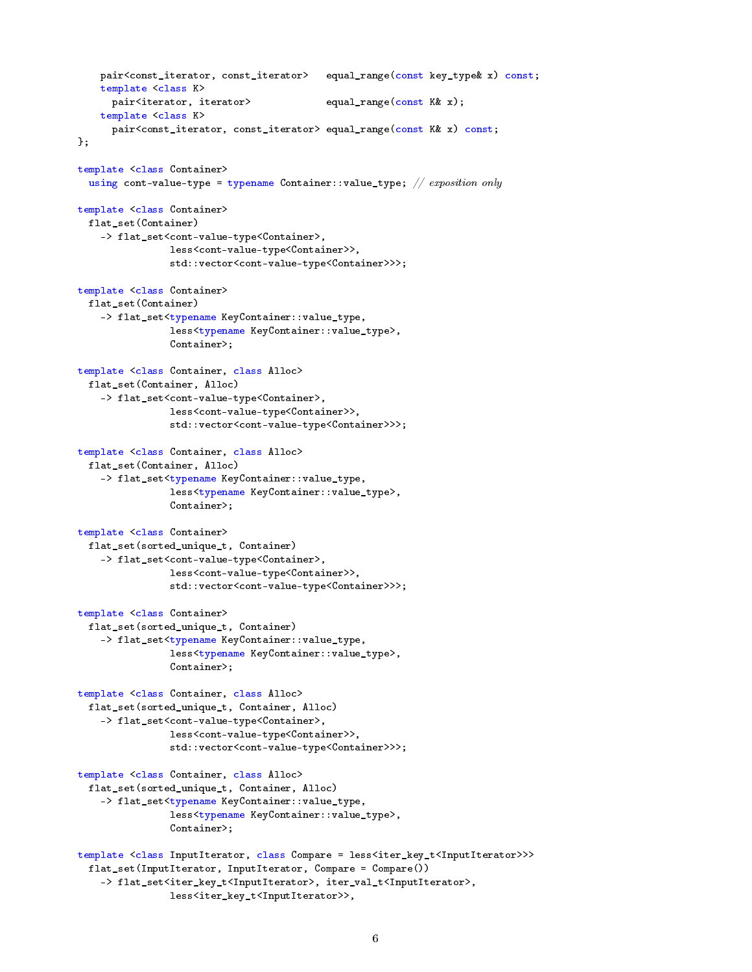```
pair<const_iterator, const_iterator> equal_range(const key_type& x) const;
    template <class K>
     pair<iterator, iterator> equal_range(const K& x);
    template <class K>
     pair<const_iterator, const_iterator> equal_range(const K& x) const;
};
template <class Container>
 using cont-value-type = typename Container::value_type; // \emph{exposition only}template <class Container>
 flat_set(Container)
    -> flat_set<cont-value-type<Container>,
                less<cont-value-type<Container>>,
                std::vector<cont-value-type<Container>>>;
template <class Container>
 flat_set(Container)
    -> flat_set<typename KeyContainer::value_type,
                less<typename KeyContainer::value_type>,
                Container>;
template <class Container, class Alloc>
 flat_set(Container, Alloc)
    -> flat_set<cont-value-type<Container>,
                less<cont-value-type<Container>>,
                std::vector<cont-value-type<Container>>>;
template <class Container, class Alloc>
 flat_set(Container, Alloc)
    -> flat_set<typename KeyContainer::value_type,
                less<typename KeyContainer::value_type>,
                Container>;
template <class Container>
 flat_set(sorted_unique_t, Container)
    -> flat_set<cont-value-type<Container>,
                less<cont-value-type<Container>>,
                std::vector<cont-value-type<Container>>>;
template <class Container>
 flat_set(sorted_unique_t, Container)
    -> flat_set<typename KeyContainer::value_type,
                less<typename KeyContainer::value_type>,
                Container>;
template <class Container, class Alloc>
 flat_set(sorted_unique_t, Container, Alloc)
    -> flat_set<cont-value-type<Container>,
                less<cont-value-type<Container>>,
                std::vector<cont-value-type<Container>>>;
template <class Container, class Alloc>
 flat_set(sorted_unique_t, Container, Alloc)
    -> flat_set<typename KeyContainer::value_type,
                less<typename KeyContainer::value_type>,
                Container>;
template <class InputIterator, class Compare = less<iter_key_t<InputIterator>>>
 flat_set(InputIterator, InputIterator, Compare = Compare())
    -> flat_set<iter_key_t<InputIterator>, iter_val_t<InputIterator>,
```

```
less<iter_key_t<InputIterator>>,
```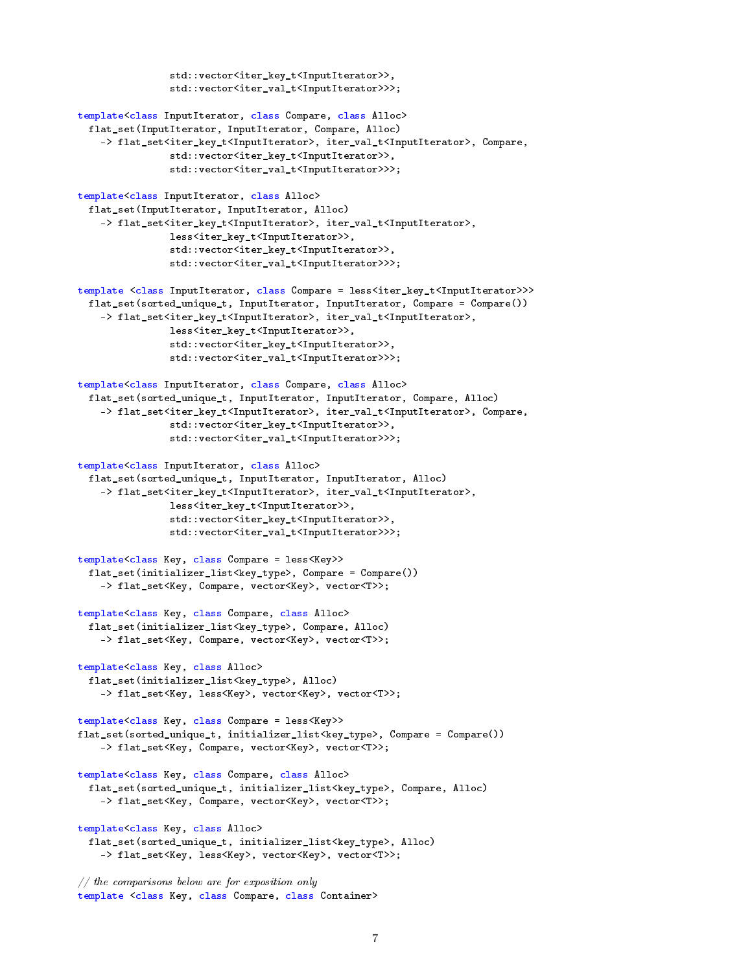```
std::vector<iter_key_t<InputIterator>>,
                std::vector<iter_val_t<InputIterator>>>;
template<class InputIterator, class Compare, class Alloc>
 flat_set(InputIterator, InputIterator, Compare, Alloc)
    -> flat_set<iter_key_t<InputIterator>, iter_val_t<InputIterator>, Compare,
                std::vector<iter_key_t<InputIterator>>,
                std::vector<iter_val_t<InputIterator>>>;
template<class InputIterator, class Alloc>
 flat_set(InputIterator, InputIterator, Alloc)
    -> flat_set<iter_key_t<InputIterator>, iter_val_t<InputIterator>,
                less<iter_key_t<InputIterator>>,
                std::vector<iter_key_t<InputIterator>>,
                std::vector<iter_val_t<InputIterator>>>;
template <class InputIterator, class Compare = less<iter_key_t<InputIterator>>>
 flat_set(sorted_unique_t, InputIterator, InputIterator, Compare = Compare())
    -> flat_set<iter_key_t<InputIterator>, iter_val_t<InputIterator>,
                less<iter_key_t<InputIterator>>,
                std::vector<iter_key_t<InputIterator>>,
                std::vector<iter_val_t<InputIterator>>>;
template<class InputIterator, class Compare, class Alloc>
 flat_set(sorted_unique_t, InputIterator, InputIterator, Compare, Alloc)
    -> flat_set<iter_key_t<InputIterator>, iter_val_t<InputIterator>, Compare,
                std::vector<iter_key_t<InputIterator>>,
                std::vector<iter_val_t<InputIterator>>>;
template<class InputIterator, class Alloc>
 flat_set(sorted_unique_t, InputIterator, InputIterator, Alloc)
    -> flat_set<iter_key_t<InputIterator>, iter_val_t<InputIterator>,
                less<iter_key_t<InputIterator>>,
                std::vector<iter_key_t<InputIterator>>,
                std::vector<iter_val_t<InputIterator>>>;
template<class Key, class Compare = less<Key>>
 flat_set(initializer_list<key_type>, Compare = Compare())
    -> flat_set<Key, Compare, vector<Key>, vector<T>>;
template<class Key, class Compare, class Alloc>
 flat_set(initializer_list<key_type>, Compare, Alloc)
    -> flat_set<Key, Compare, vector<Key>, vector<T>>;
template<class Key, class Alloc>
 flat_set(initializer_list<key_type>, Alloc)
    -> flat_set<Key, less<Key>, vector<Key>, vector<T>>;
template<class Key, class Compare = less<Key>>
flat_set(sorted_unique_t, initializer_list<key_type>, Compare = Compare())
    -> flat_set<Key, Compare, vector<Key>, vector<T>>;
template<class Key, class Compare, class Alloc>
 flat_set(sorted_unique_t, initializer_list<key_type>, Compare, Alloc)
    -> flat_set<Key, Compare, vector<Key>, vector<T>>;
template<class Key, class Alloc>
 flat_set(sorted_unique_t, initializer_list<key_type>, Alloc)
    -> flat_set<Key, less<Key>, vector<Key>, vector<T>>;
// the comparisons below are for exposition only
```

```
template <class Key, class Compare, class Container>
```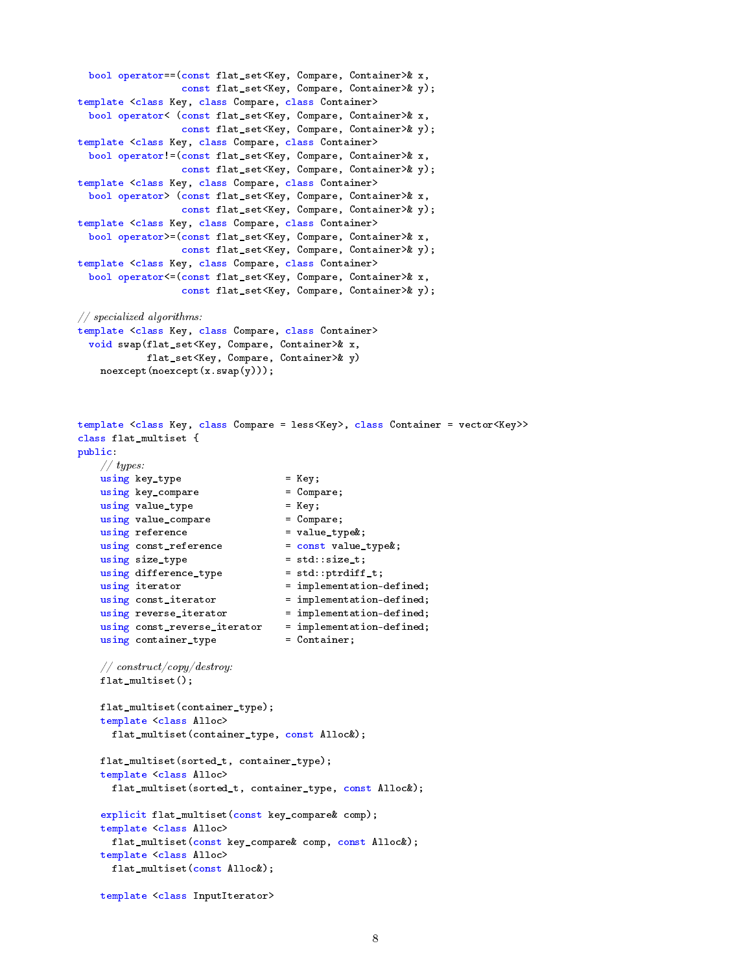```
bool operator==(const flat_set<Key, Compare, Container>& x,
                 const flat_set<Key, Compare, Container>& y);
template <class Key, class Compare, class Container>
 bool operator< (const flat_set<Key, Compare, Container>& x,
                 const flat_set<Key, Compare, Container>& y);
template <class Key, class Compare, class Container>
 bool operator!=(const flat_set<Key, Compare, Container>& x,
                 const flat_set<Key, Compare, Container>& y);
template <class Key, class Compare, class Container>
 bool operator> (const flat_set<Key, Compare, Container>& x,
                 const flat_set<Key, Compare, Container>& y);
template <class Key, class Compare, class Container>
 bool operator>=(const flat_set<Key, Compare, Container>& x,
                 const flat_set<Key, Compare, Container>& y);
template <class Key, class Compare, class Container>
 bool operator<=(const flat_set<Key, Compare, Container>& x,
                  const flat_set<Key, Compare, Container>& y);
// specialized algorithms:
template <class Key, class Compare, class Container>
 void swap(flat_set<Key, Compare, Container>& x,
           flat_set<Key, Compare, Container>& y)
    noexcept(noexcept(x.swap(y)));
template <class Key, class Compare = less<Key>, class Container = vector<Key>>
class flat_multiset {
public:
    // types:using key_type = Key;using key_compare = Compare;
    using value_type = Fey;<br>using value_compare = = Compare;
    using value_compare
    using reference = value_type k;
    using const_reference = const value_type&;
    using size_type = std::size_t;<br>using difference_type = std::ptrdiff_t;<br>i
    using difference_type
    using iterator = implementation-defined;
    using const_iterator = implementation-defined;
    using reverse_iterator = implementation-defined;
   using const_reverse_iterator = implementation-defined;<br>using container_type = Container;
    using container_type
    // construct/copy/destroy:
    flat_multiset();
    flat_multiset(container_type);
    template <class Alloc>
     flat_multiset(container_type, const Alloc&);
    flat_multiset(sorted_t, container_type);
    template <class Alloc>
     flat_multiset(sorted_t, container_type, const Alloc&);
    explicit flat_multiset(const key_compare& comp);
    template <class Alloc>
     flat_multiset(const key_compare& comp, const Alloc&);
```

```
flat_multiset(const Alloc&);
```
template <class Alloc>

```
template <class InputIterator>
```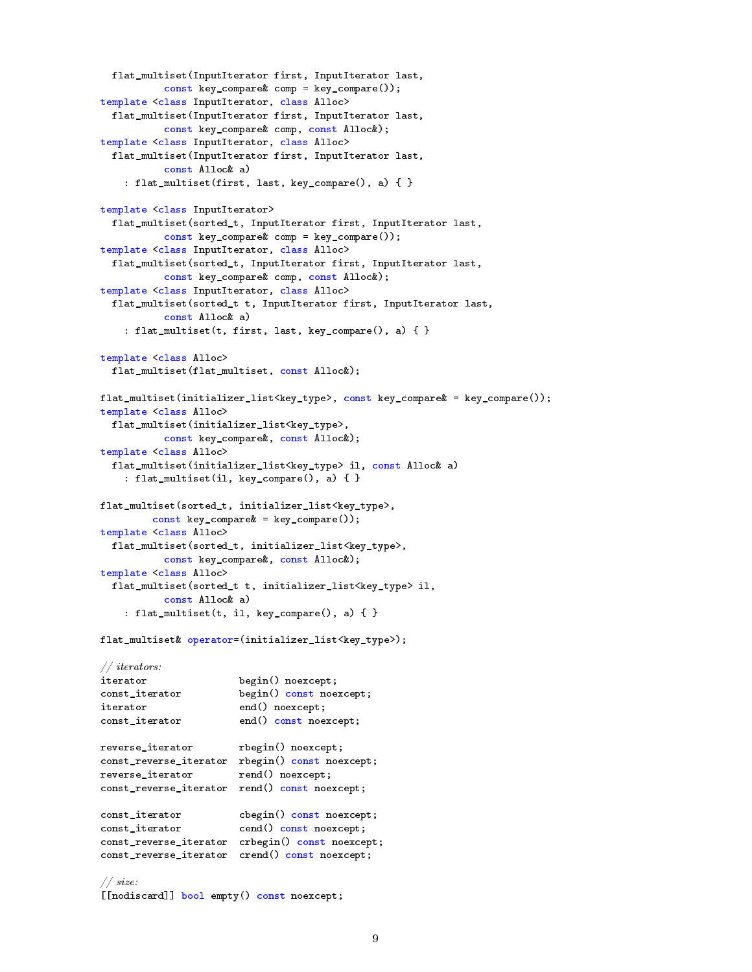```
flat_multiset(InputIterator first, InputIterator last,
          const key_compare& comp = key_compare());
template <class InputIterator, class Alloc>
 flat_multiset(InputIterator first, InputIterator last,
          const key_compare& comp, const Alloc&);
template <class InputIterator, class Alloc>
 flat_multiset(InputIterator first, InputIterator last,
          const Alloc& a)
   : flat_multiset(first, last, key_compare(), a) { }
template <class InputIterator>
 flat_multiset(sorted_t, InputIterator first, InputIterator last,
          const key_compare& comp = key_compare());
template <class InputIterator, class Alloc>
 flat_multiset(sorted_t, InputIterator first, InputIterator last,
          const key_compare& comp, const Alloc&);
template <class InputIterator, class Alloc>
 flat_multiset(sorted_t t, InputIterator first, InputIterator last,
          const Alloc& a)
    : flat_multiset(t, first, last, key_compare(), a) { }
template <class Alloc>
 flat_multiset(flat_multiset, const Alloc&);
flat_multiset(initializer_list<key_type>, const key_compare& = key_compare());
template <class Alloc>
 flat_multiset(initializer_list<key_type>,
          const key_compare&, const Alloc&);
template <class Alloc>
 flat_multiset(initializer_list<key_type> il, const Alloc& a)
   : flat_multiset(il, key_compare(), a) { }
flat_multiset(sorted_t, initializer_list<key_type>,
        const key\_compare& = key\_compare();
template <class Alloc>
 flat_multiset(sorted_t, initializer_list<key_type>,
          const key_compare&, const Alloc&);
template <class Alloc>
 flat_multiset(sorted_t t, initializer_list<key_type> il,
          const Alloc& a)
   : flat_multiset(t, il, key_compare(), a) { }
flat_multiset& operator=(initializer_list<key_type>);
// iterators:
iterator begin() noexcept;
const_iterator begin() const noexcept;
iterator end() noexcept;
const_iterator end() const noexcept;
reverse_iterator rbegin() noexcept;
const_reverse_iterator rbegin() const noexcept;
reverse_iterator rend() noexcept;
const_reverse_iterator rend() const noexcept;
const_iterator cbegin() const noexcept;
const_iterator cend() const noexcept;
const_reverse_iterator crbegin() const noexcept;
const_reverse_iterator crend() const noexcept;
// size:
[[nodiscard]] bool empty() const noexcept;
```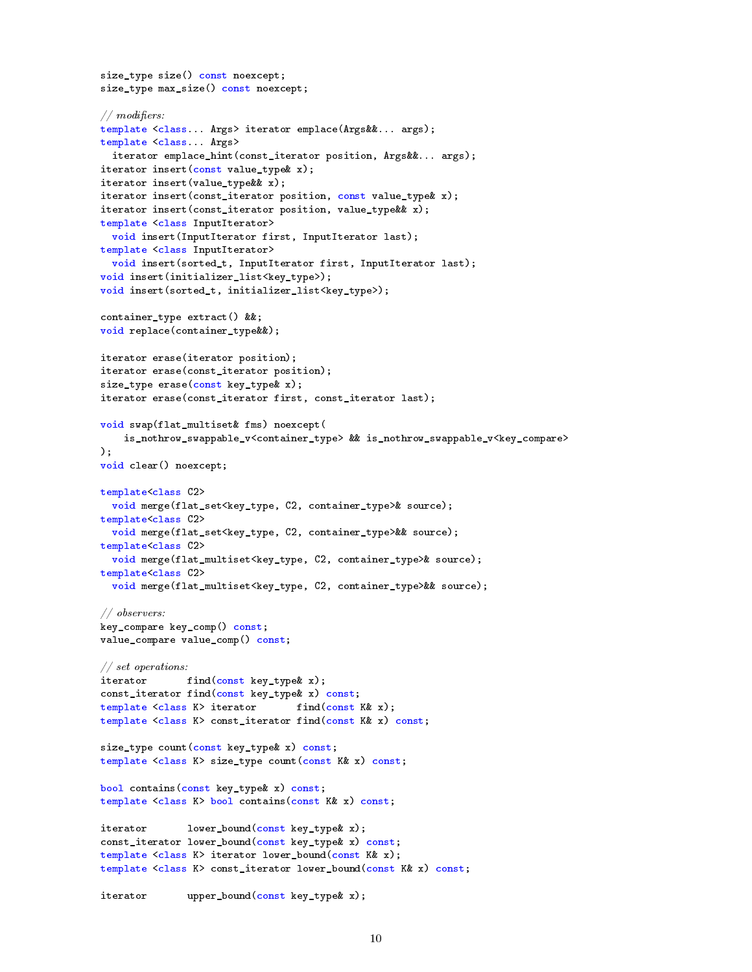```
size_type size() const noexcept;
size_type max_size() const noexcept;
// modifiers:
template <class... Args> iterator emplace(Args&&... args);
template <class... Args>
 iterator emplace_hint(const_iterator position, Args&&... args);
iterator insert(const value_type& x);
iterator insert(value_type&& x);
iterator insert(const_iterator position, const value_type& x);
iterator insert(const_iterator position, value_type&& x);
template <class InputIterator>
 void insert(InputIterator first, InputIterator last);
template <class InputIterator>
 void insert(sorted_t, InputIterator first, InputIterator last);
void insert(initializer_list<key_type>);
void insert(sorted_t, initializer_list<key_type>);
container_type extract() &&;
void replace(container_type&&);
iterator erase(iterator position);
iterator erase(const_iterator position);
size_type erase(const key_type& x);
iterator erase(const_iterator first, const_iterator last);
void swap(flat_multiset& fms) noexcept(
    is_nothrow_swappable_v<container_type> && is_nothrow_swappable_v<key_compare>
);
void clear() noexcept;
template<class C2>
 void merge(flat_set<key_type, C2, container_type>& source);
template<class C2>
 void merge(flat_set<key_type, C2, container_type>&& source);
template<class C2>
 void merge(flat_multiset<key_type, C2, container_type>& source);
template<class C2>
 void merge(flat_multiset<key_type, C2, container_type>&& source);
// observers:
key_compare key_comp() const;
value_compare value_comp() const;
// set operations:
iterator find(const key_type& x);
const_iterator find(const key_type& x) const;
template <class K> iterator find(const K& x);
template <class K> const_iterator find(const K& x) const;
size_type count(const key_type& x) const;
template <class K> size_type count(const K& x) const;
bool contains(const key_type& x) const;
template <class K> bool contains(const K& x) const;
iterator lower_bound(const key_type& x);
const_iterator lower_bound(const key_type& x) const;
template <class K> iterator lower_bound(const K& x);
template <class K> const_iterator lower_bound(const K& x) const;
iterator upper_bound(const key_type& x);
```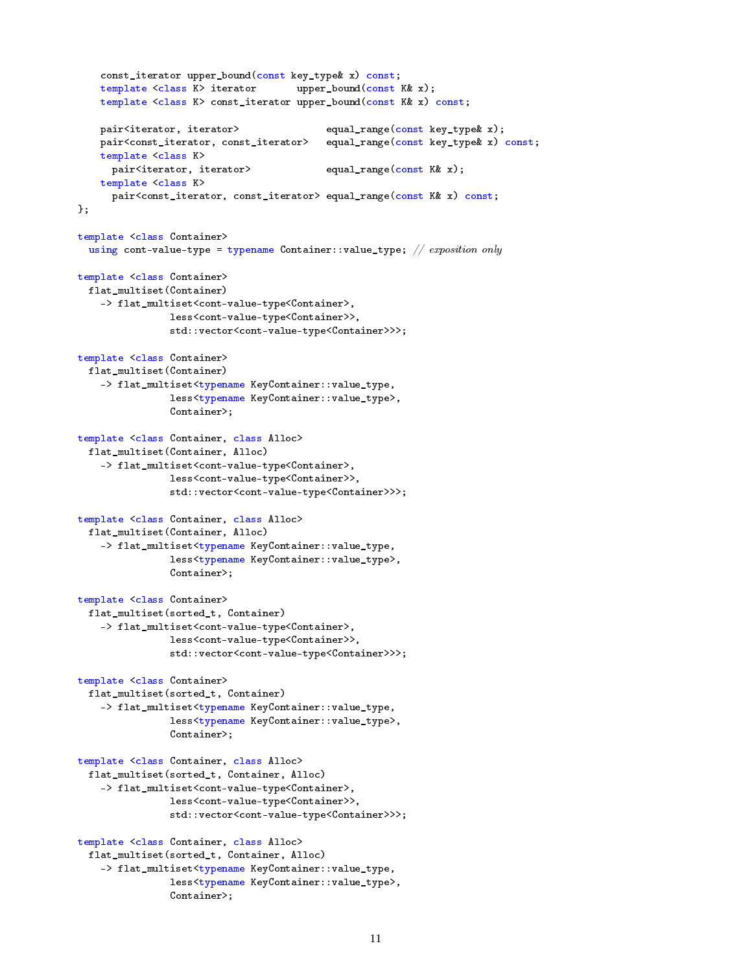```
const_iterator upper_bound(const key_type& x) const;
   template <class K> iterator upper_bound(const K& x);
   template <class K> const_iterator upper_bound(const K& x) const;
   pair<iterator, iterator>
equal_range(const key_type& x);
   pair<const_iterator, const_iterator> equal_range(const key_type& x) const;
   template <class K>
     pair<iterator, iterator> equal_range(const K& x);
   template <class K>
     pair<const_iterator, const_iterator> equal_range(const K& x) const;
};
template <class Container>
 using cont-value-type = typename Container::value_type; // exposition only
template <class Container>
 flat_multiset(Container)
   -> flat_multiset<cont-value-type<Container>,
                less<cont-value-type<Container>>,
               std::vector<cont-value-type<Container>>>;
template <class Container>
 flat_multiset(Container)
   -> flat_multiset<typename KeyContainer::value_type,
                less<typename KeyContainer::value_type>,
               Container>;
template <class Container, class Alloc>
 flat_multiset(Container, Alloc)
   -> flat_multiset<cont-value-type<Container>,
               less<cont-value-type<Container>>,
                std::vector<cont-value-type<Container>>>;
template <class Container, class Alloc>
 flat_multiset(Container, Alloc)
   -> flat_multiset<typename KeyContainer::value_type,
               less<typename KeyContainer::value_type>,
               Container>;
template <class Container>
 flat_multiset(sorted_t, Container)
   -> flat_multiset<cont-value-type<Container>,
                less<cont-value-type<Container>>,
                std::vector<cont-value-type<Container>>>;
template <class Container>
 flat_multiset(sorted_t, Container)
   -> flat_multiset<typename KeyContainer::value_type,
               less<typename KeyContainer::value_type>,
               Container>;
template <class Container, class Alloc>
 flat_multiset(sorted_t, Container, Alloc)
   -> flat_multiset<cont-value-type<Container>,
               less<cont-value-type<Container>>,
                std::vector<cont-value-type<Container>>>;
template <class Container, class Alloc>
 flat_multiset(sorted_t, Container, Alloc)
   -> flat_multiset<typename KeyContainer::value_type,
               less<typename KeyContainer::value_type>,
               Container>;
```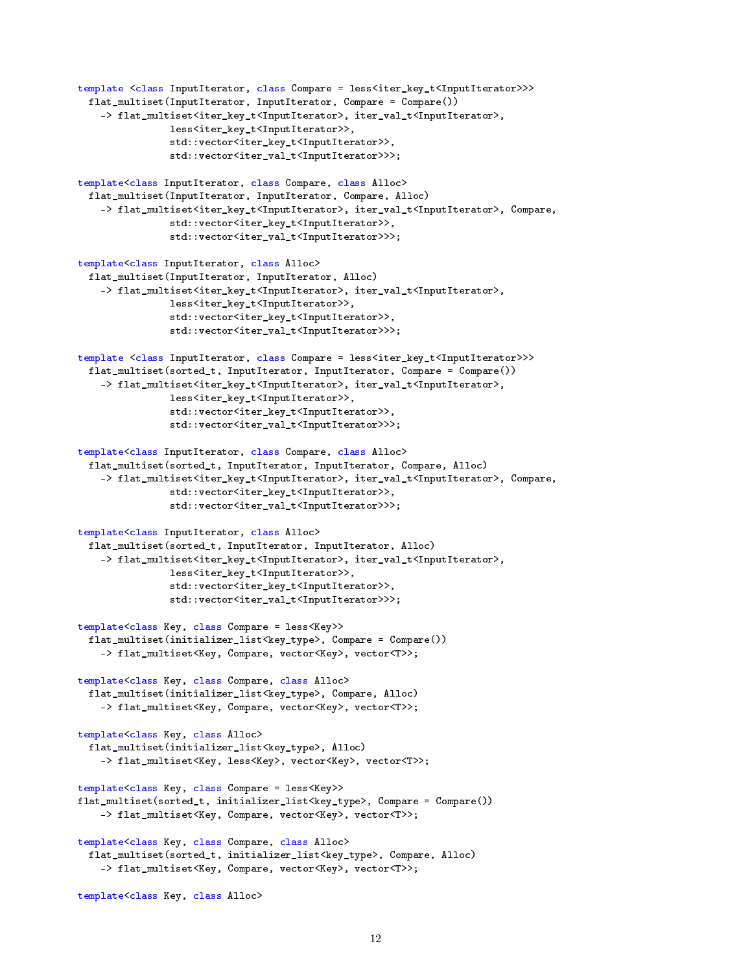```
template <class InputIterator, class Compare = less<iter_key_t<InputIterator>>>>
 flat_multiset(InputIterator, InputIterator, Compare = Compare())
    -> flat_multiset<iter_key_t<InputIterator>, iter_val_t<InputIterator>,
                less<iter_key_t<InputIterator>>,
                std::vector<iter_key_t<InputIterator>>,
                std::vector<iter_val_t<InputIterator>>>;
template<class InputIterator, class Compare, class Alloc>
 flat_multiset(InputIterator, InputIterator, Compare, Alloc)
    -> flat_multiset<iter_key_t<InputIterator>, iter_val_t<InputIterator>, Compare,
                std::vector<iter_key_t<InputIterator>>,
                std::vector<iter_val_t<InputIterator>>>;
template<class InputIterator, class Alloc>
 flat_multiset(InputIterator, InputIterator, Alloc)
    -> flat_multiset<iter_key_t<InputIterator>, iter_val_t<InputIterator>,
                less<iter_key_t<InputIterator>>,
                std::vector<iter_key_t<InputIterator>>,
                std::vector<iter_val_t<InputIterator>>>;
template <class InputIterator, class Compare = less<iter_key_t<InputIterator>>>
 flat_multiset(sorted_t, InputIterator, InputIterator, Compare = Compare())
    -> flat_multiset<iter_key_t<InputIterator>, iter_val_t<InputIterator>,
                less<iter_key_t<InputIterator>>,
                std::vector<iter_key_t<InputIterator>>,
                std::vector<iter_val_t<InputIterator>>>;
template<class InputIterator, class Compare, class Alloc>
 flat_multiset(sorted_t, InputIterator, InputIterator, Compare, Alloc)
    -> flat_multiset<iter_key_t<InputIterator>, iter_val_t<InputIterator>, Compare,
                std::vector<iter_key_t<InputIterator>>,
                std::vector<iter_val_t<InputIterator>>>;
template<class InputIterator, class Alloc>
 flat_multiset(sorted_t, InputIterator, InputIterator, Alloc)
    -> flat_multiset<iter_key_t<InputIterator>, iter_val_t<InputIterator>,
                less<iter_key_t<InputIterator>>,
                std::vector<iter_key_t<InputIterator>>,
                std::vector<iter_val_t<InputIterator>>>;
template<class Key, class Compare = less<Key>>
 flat_multiset(initializer_list<key_type>, Compare = Compare())
    -> flat_multiset<Key, Compare, vector<Key>, vector<T>>;
template<class Key, class Compare, class Alloc>
 flat_multiset(initializer_list<key_type>, Compare, Alloc)
    -> flat_multiset<Key, Compare, vector<Key>, vector<T>>;
template<class Key, class Alloc>
 flat_multiset(initializer_list<key_type>, Alloc)
    -> flat_multiset<Key, less<Key>, vector<Key>, vector<T>>;
template<class Key, class Compare = less<Key>>
flat_multiset(sorted_t, initializer_list<key_type>, Compare = Compare())
    -> flat_multiset<Key, Compare, vector<Key>, vector<T>>;
template<class Key, class Compare, class Alloc>
 flat_multiset(sorted_t, initializer_list<key_type>, Compare, Alloc)
    -> flat_multiset<Key, Compare, vector<Key>, vector<T>>;
template<class Key, class Alloc>
```